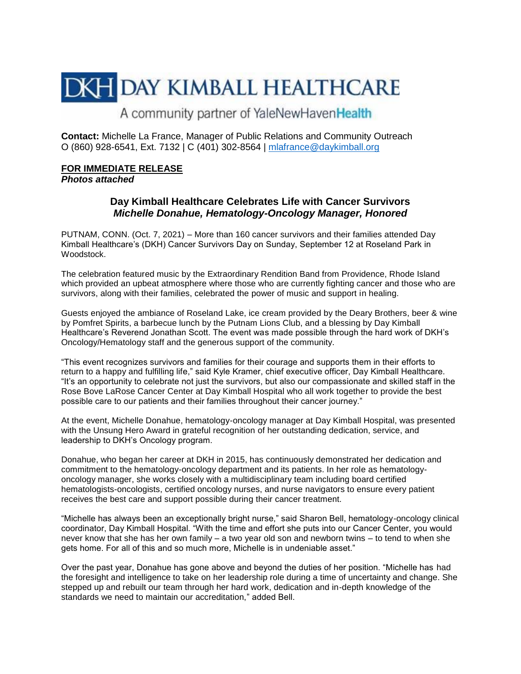## **DKH DAY KIMBALL HEALTHCARE**

A community partner of YaleNewHavenHealth

**Contact:** Michelle La France, Manager of Public Relations and Community Outreach O (860) 928-6541, Ext. 7132 | C (401) 302-8564 | [mlafrance@daykimball.org](mailto:mlafrance@daykimball.org)

## **FOR IMMEDIATE RELEASE**  *Photos attached*

## **Day Kimball Healthcare Celebrates Life with Cancer Survivors**  *Michelle Donahue, Hematology-Oncology Manager, Honored*

PUTNAM, CONN. (Oct. 7, 2021) – More than 160 cancer survivors and their families attended Day Kimball Healthcare's (DKH) Cancer Survivors Day on Sunday, September 12 at Roseland Park in Woodstock.

The celebration featured music by the Extraordinary Rendition Band from Providence, Rhode Island which provided an upbeat atmosphere where those who are currently fighting cancer and those who are survivors, along with their families, celebrated the power of music and support in healing.

Guests enjoyed the ambiance of Roseland Lake, ice cream provided by the Deary Brothers, beer & wine by Pomfret Spirits, a barbecue lunch by the Putnam Lions Club, and a blessing by Day Kimball Healthcare's Reverend Jonathan Scott. The event was made possible through the hard work of DKH's Oncology/Hematology staff and the generous support of the community.

"This event recognizes survivors and families for their courage and supports them in their efforts to return to a happy and fulfilling life," said Kyle Kramer, chief executive officer, Day Kimball Healthcare. "It's an opportunity to celebrate not just the survivors, but also our compassionate and skilled staff in the Rose Bove LaRose Cancer Center at Day Kimball Hospital who all work together to provide the best possible care to our patients and their families throughout their cancer journey."

At the event, Michelle Donahue, hematology-oncology manager at Day Kimball Hospital, was presented with the Unsung Hero Award in grateful recognition of her outstanding dedication, service, and leadership to DKH's Oncology program.

Donahue, who began her career at DKH in 2015, has continuously demonstrated her dedication and commitment to the hematology-oncology department and its patients. In her role as hematologyoncology manager, she works closely with a multidisciplinary team including board certified hematologists-oncologists, certified oncology nurses, and nurse navigators to ensure every patient receives the best care and support possible during their cancer treatment.

"Michelle has always been an exceptionally bright nurse," said Sharon Bell, hematology-oncology clinical coordinator, Day Kimball Hospital. "With the time and effort she puts into our Cancer Center, you would never know that she has her own family – a two year old son and newborn twins – to tend to when she gets home. For all of this and so much more, Michelle is in undeniable asset."

Over the past year, Donahue has gone above and beyond the duties of her position. "Michelle has had the foresight and intelligence to take on her leadership role during a time of uncertainty and change. She stepped up and rebuilt our team through her hard work, dedication and in-depth knowledge of the standards we need to maintain our accreditation," added Bell.